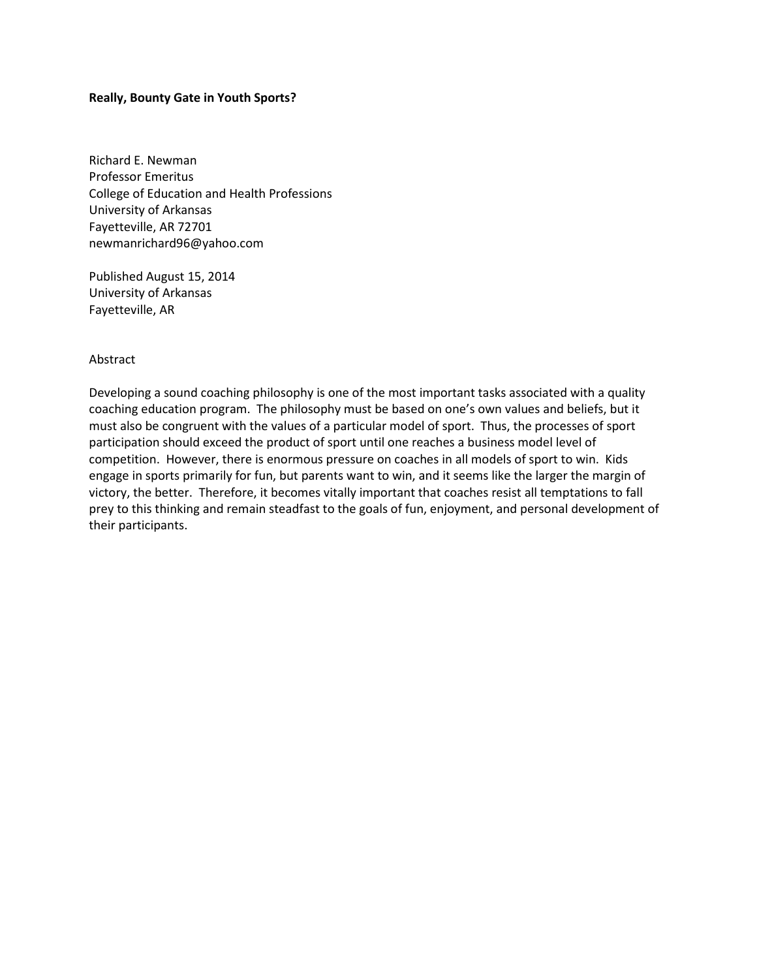### **Really, Bounty Gate in Youth Sports?**

Richard E. Newman Professor Emeritus College of Education and Health Professions University of Arkansas Fayetteville, AR 72701 newmanrichard96@yahoo.com

Published August 15, 2014 University of Arkansas Fayetteville, AR

#### Abstract

Developing a sound coaching philosophy is one of the most important tasks associated with a quality coaching education program. The philosophy must be based on one's own values and beliefs, but it must also be congruent with the values of a particular model of sport. Thus, the processes of sport participation should exceed the product of sport until one reaches a business model level of competition. However, there is enormous pressure on coaches in all models of sport to win. Kids engage in sports primarily for fun, but parents want to win, and it seems like the larger the margin of victory, the better. Therefore, it becomes vitally important that coaches resist all temptations to fall prey to this thinking and remain steadfast to the goals of fun, enjoyment, and personal development of their participants.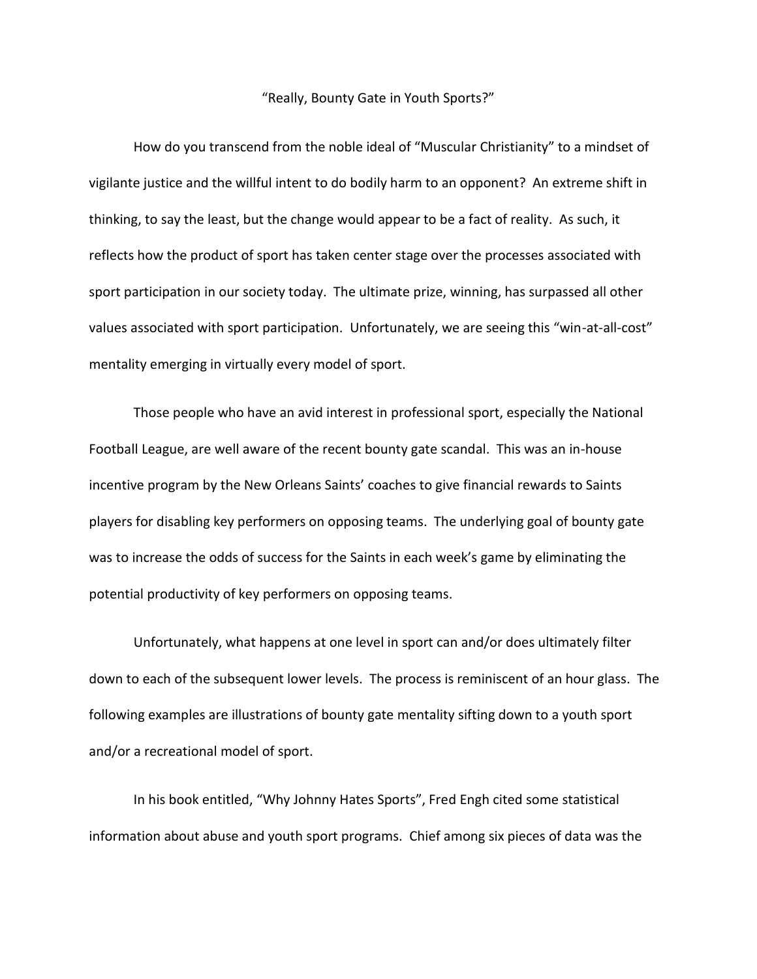### "Really, Bounty Gate in Youth Sports?"

How do you transcend from the noble ideal of "Muscular Christianity" to a mindset of vigilante justice and the willful intent to do bodily harm to an opponent? An extreme shift in thinking, to say the least, but the change would appear to be a fact of reality. As such, it reflects how the product of sport has taken center stage over the processes associated with sport participation in our society today. The ultimate prize, winning, has surpassed all other values associated with sport participation. Unfortunately, we are seeing this "win-at-all-cost" mentality emerging in virtually every model of sport.

Those people who have an avid interest in professional sport, especially the National Football League, are well aware of the recent bounty gate scandal. This was an in-house incentive program by the New Orleans Saints' coaches to give financial rewards to Saints players for disabling key performers on opposing teams. The underlying goal of bounty gate was to increase the odds of success for the Saints in each week's game by eliminating the potential productivity of key performers on opposing teams.

Unfortunately, what happens at one level in sport can and/or does ultimately filter down to each of the subsequent lower levels. The process is reminiscent of an hour glass. The following examples are illustrations of bounty gate mentality sifting down to a youth sport and/or a recreational model of sport.

In his book entitled, "Why Johnny Hates Sports", Fred Engh cited some statistical information about abuse and youth sport programs. Chief among six pieces of data was the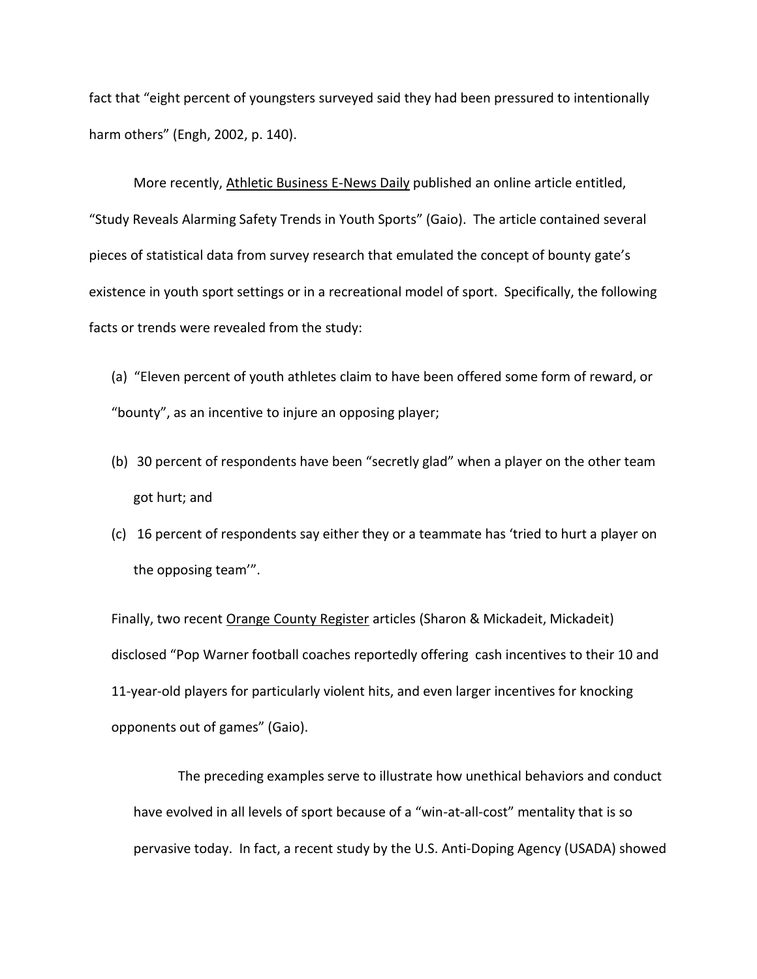fact that "eight percent of youngsters surveyed said they had been pressured to intentionally harm others" (Engh, 2002, p. 140).

More recently, Athletic Business E-News Daily published an online article entitled, "Study Reveals Alarming Safety Trends in Youth Sports" (Gaio). The article contained several pieces of statistical data from survey research that emulated the concept of bounty gate's existence in youth sport settings or in a recreational model of sport. Specifically, the following facts or trends were revealed from the study:

- (a) "Eleven percent of youth athletes claim to have been offered some form of reward, or "bounty", as an incentive to injure an opposing player;
- (b) 30 percent of respondents have been "secretly glad" when a player on the other team got hurt; and
- (c) 16 percent of respondents say either they or a teammate has 'tried to hurt a player on the opposing team'".

Finally, two recent Orange County Register articles (Sharon & Mickadeit, Mickadeit) disclosed "Pop Warner football coaches reportedly offering cash incentives to their 10 and 11-year-old players for particularly violent hits, and even larger incentives for knocking opponents out of games" (Gaio).

The preceding examples serve to illustrate how unethical behaviors and conduct have evolved in all levels of sport because of a "win-at-all-cost" mentality that is so pervasive today. In fact, a recent study by the U.S. Anti-Doping Agency (USADA) showed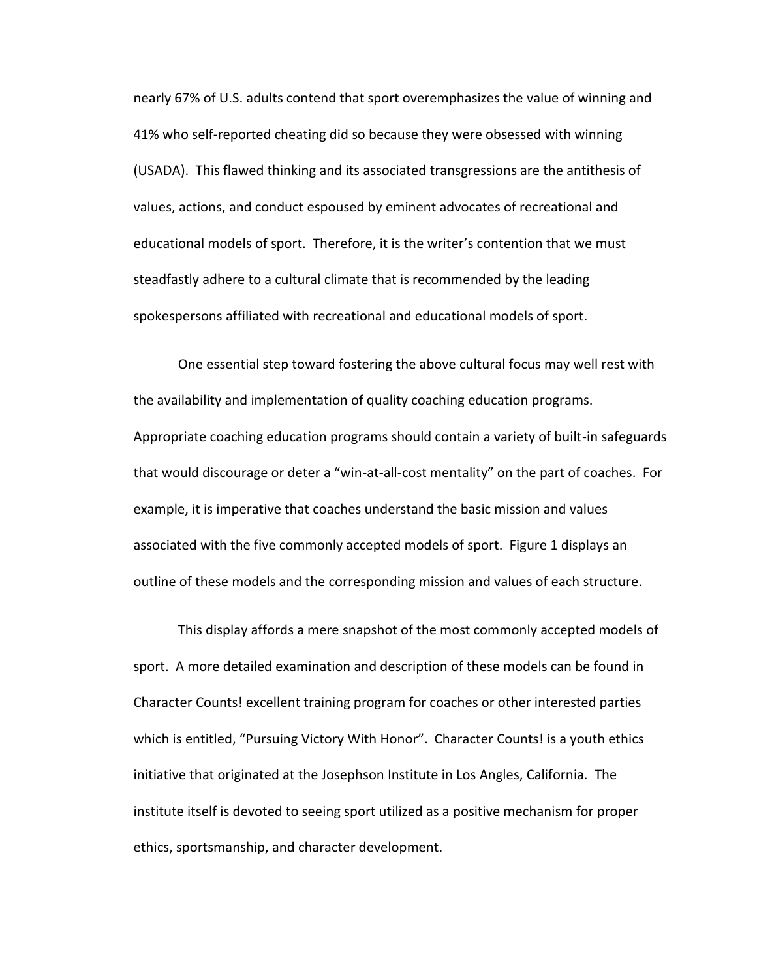nearly 67% of U.S. adults contend that sport overemphasizes the value of winning and 41% who self-reported cheating did so because they were obsessed with winning (USADA). This flawed thinking and its associated transgressions are the antithesis of values, actions, and conduct espoused by eminent advocates of recreational and educational models of sport. Therefore, it is the writer's contention that we must steadfastly adhere to a cultural climate that is recommended by the leading spokespersons affiliated with recreational and educational models of sport.

One essential step toward fostering the above cultural focus may well rest with the availability and implementation of quality coaching education programs. Appropriate coaching education programs should contain a variety of built-in safeguards that would discourage or deter a "win-at-all-cost mentality" on the part of coaches. For example, it is imperative that coaches understand the basic mission and values associated with the five commonly accepted models of sport. Figure 1 displays an outline of these models and the corresponding mission and values of each structure.

This display affords a mere snapshot of the most commonly accepted models of sport. A more detailed examination and description of these models can be found in Character Counts! excellent training program for coaches or other interested parties which is entitled, "Pursuing Victory With Honor". Character Counts! is a youth ethics initiative that originated at the Josephson Institute in Los Angles, California. The institute itself is devoted to seeing sport utilized as a positive mechanism for proper ethics, sportsmanship, and character development.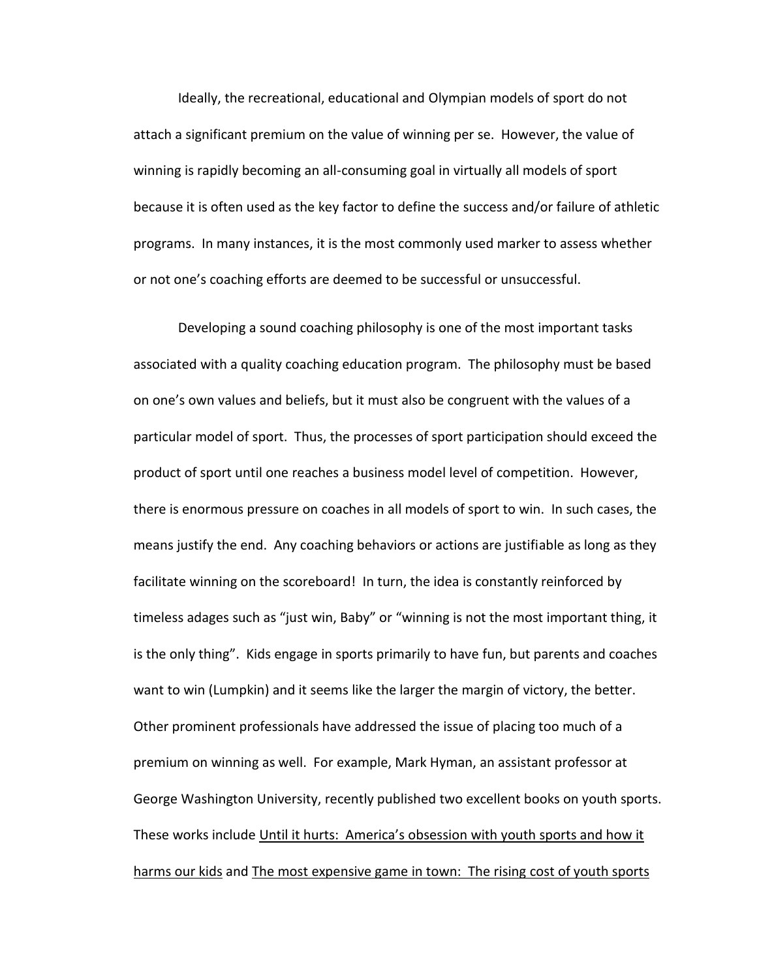Ideally, the recreational, educational and Olympian models of sport do not attach a significant premium on the value of winning per se. However, the value of winning is rapidly becoming an all-consuming goal in virtually all models of sport because it is often used as the key factor to define the success and/or failure of athletic programs. In many instances, it is the most commonly used marker to assess whether or not one's coaching efforts are deemed to be successful or unsuccessful.

Developing a sound coaching philosophy is one of the most important tasks associated with a quality coaching education program. The philosophy must be based on one's own values and beliefs, but it must also be congruent with the values of a particular model of sport. Thus, the processes of sport participation should exceed the product of sport until one reaches a business model level of competition. However, there is enormous pressure on coaches in all models of sport to win. In such cases, the means justify the end. Any coaching behaviors or actions are justifiable as long as they facilitate winning on the scoreboard! In turn, the idea is constantly reinforced by timeless adages such as "just win, Baby" or "winning is not the most important thing, it is the only thing". Kids engage in sports primarily to have fun, but parents and coaches want to win (Lumpkin) and it seems like the larger the margin of victory, the better. Other prominent professionals have addressed the issue of placing too much of a premium on winning as well. For example, Mark Hyman, an assistant professor at George Washington University, recently published two excellent books on youth sports. These works include Until it hurts: America's obsession with youth sports and how it harms our kids and The most expensive game in town: The rising cost of youth sports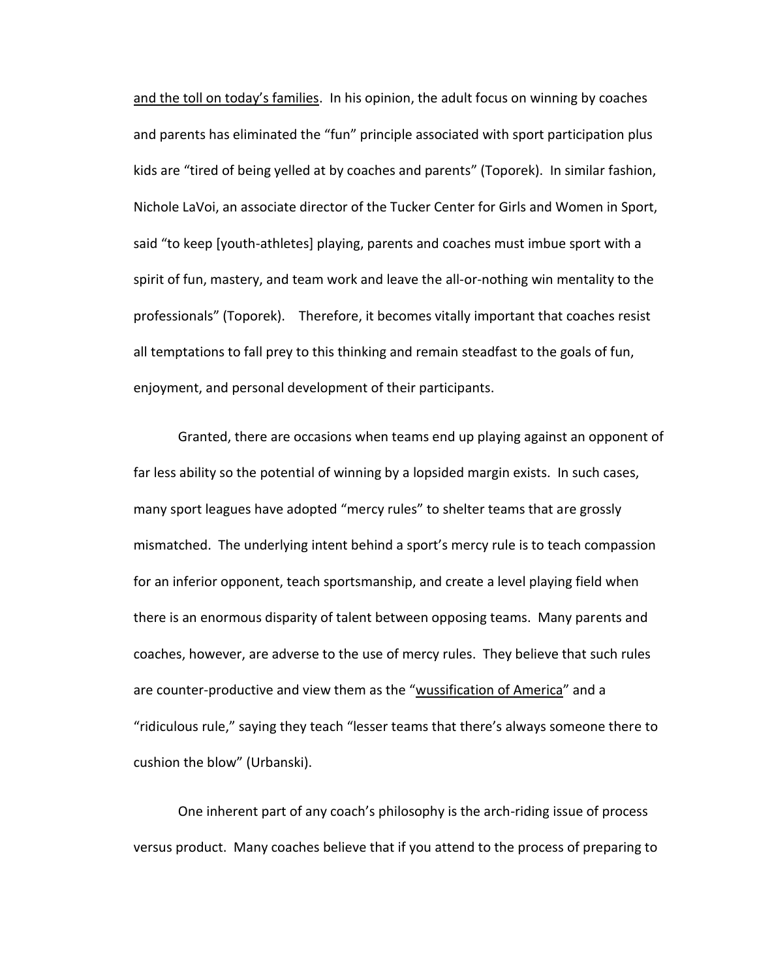and the toll on today's families. In his opinion, the adult focus on winning by coaches and parents has eliminated the "fun" principle associated with sport participation plus kids are "tired of being yelled at by coaches and parents" (Toporek). In similar fashion, Nichole LaVoi, an associate director of the Tucker Center for Girls and Women in Sport, said "to keep [youth-athletes] playing, parents and coaches must imbue sport with a spirit of fun, mastery, and team work and leave the all-or-nothing win mentality to the professionals" (Toporek). Therefore, it becomes vitally important that coaches resist all temptations to fall prey to this thinking and remain steadfast to the goals of fun, enjoyment, and personal development of their participants.

Granted, there are occasions when teams end up playing against an opponent of far less ability so the potential of winning by a lopsided margin exists. In such cases, many sport leagues have adopted "mercy rules" to shelter teams that are grossly mismatched. The underlying intent behind a sport's mercy rule is to teach compassion for an inferior opponent, teach sportsmanship, and create a level playing field when there is an enormous disparity of talent between opposing teams. Many parents and coaches, however, are adverse to the use of mercy rules. They believe that such rules are counter-productive and view them as the "wussification of America" and a "ridiculous rule," saying they teach "lesser teams that there's always someone there to cushion the blow" (Urbanski).

One inherent part of any coach's philosophy is the arch-riding issue of process versus product. Many coaches believe that if you attend to the process of preparing to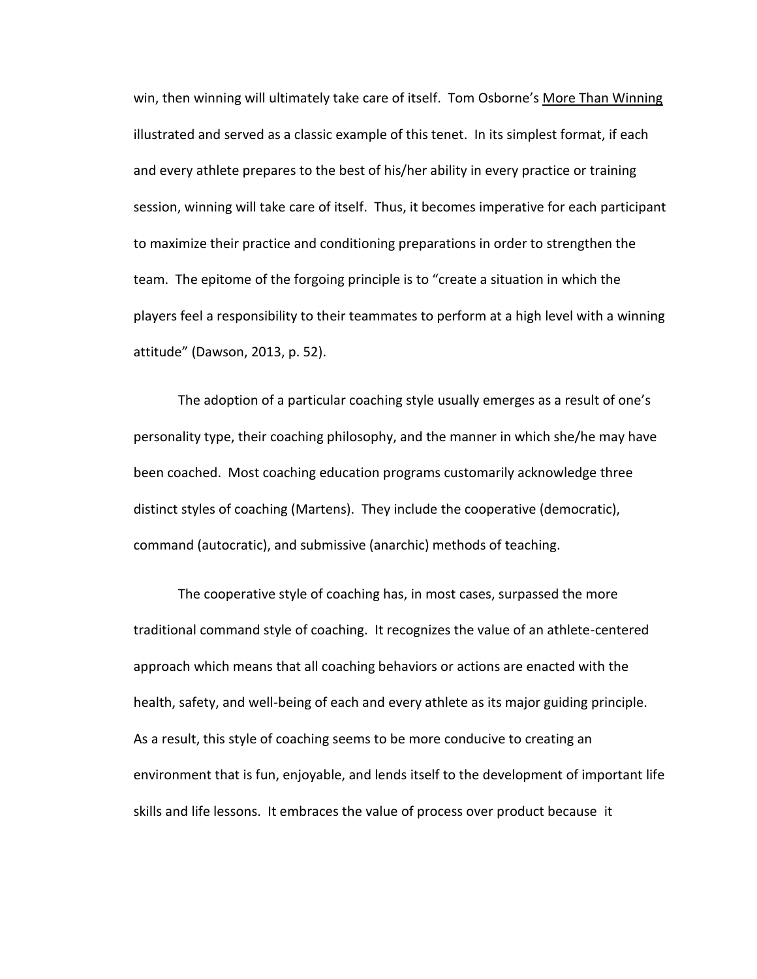win, then winning will ultimately take care of itself. Tom Osborne's More Than Winning illustrated and served as a classic example of this tenet. In its simplest format, if each and every athlete prepares to the best of his/her ability in every practice or training session, winning will take care of itself. Thus, it becomes imperative for each participant to maximize their practice and conditioning preparations in order to strengthen the team. The epitome of the forgoing principle is to "create a situation in which the players feel a responsibility to their teammates to perform at a high level with a winning attitude" (Dawson, 2013, p. 52).

The adoption of a particular coaching style usually emerges as a result of one's personality type, their coaching philosophy, and the manner in which she/he may have been coached. Most coaching education programs customarily acknowledge three distinct styles of coaching (Martens). They include the cooperative (democratic), command (autocratic), and submissive (anarchic) methods of teaching.

The cooperative style of coaching has, in most cases, surpassed the more traditional command style of coaching. It recognizes the value of an athlete-centered approach which means that all coaching behaviors or actions are enacted with the health, safety, and well-being of each and every athlete as its major guiding principle. As a result, this style of coaching seems to be more conducive to creating an environment that is fun, enjoyable, and lends itself to the development of important life skills and life lessons. It embraces the value of process over product because it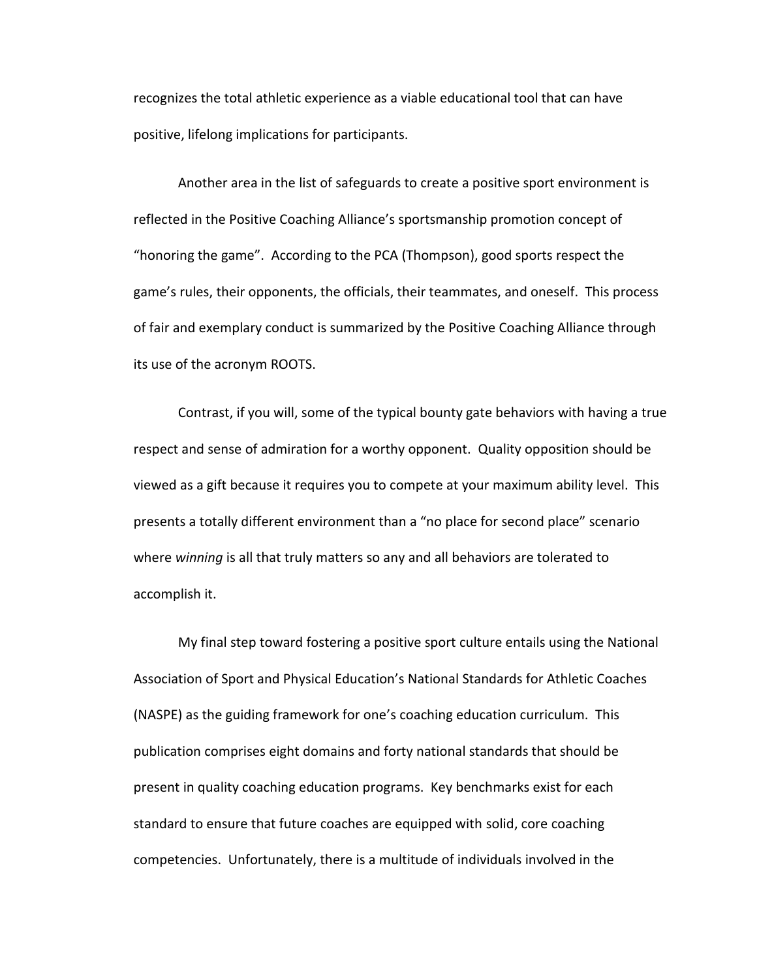recognizes the total athletic experience as a viable educational tool that can have positive, lifelong implications for participants.

Another area in the list of safeguards to create a positive sport environment is reflected in the Positive Coaching Alliance's sportsmanship promotion concept of "honoring the game". According to the PCA (Thompson), good sports respect the game's rules, their opponents, the officials, their teammates, and oneself. This process of fair and exemplary conduct is summarized by the Positive Coaching Alliance through its use of the acronym ROOTS.

Contrast, if you will, some of the typical bounty gate behaviors with having a true respect and sense of admiration for a worthy opponent. Quality opposition should be viewed as a gift because it requires you to compete at your maximum ability level. This presents a totally different environment than a "no place for second place" scenario where *winning* is all that truly matters so any and all behaviors are tolerated to accomplish it.

My final step toward fostering a positive sport culture entails using the National Association of Sport and Physical Education's National Standards for Athletic Coaches (NASPE) as the guiding framework for one's coaching education curriculum. This publication comprises eight domains and forty national standards that should be present in quality coaching education programs. Key benchmarks exist for each standard to ensure that future coaches are equipped with solid, core coaching competencies. Unfortunately, there is a multitude of individuals involved in the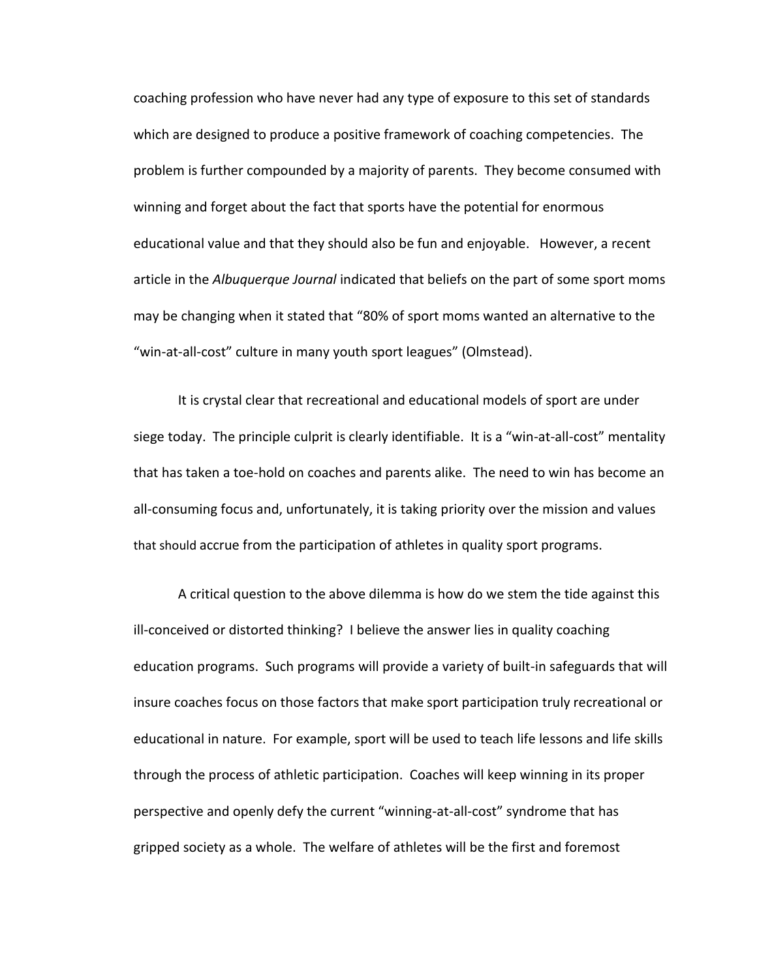coaching profession who have never had any type of exposure to this set of standards which are designed to produce a positive framework of coaching competencies. The problem is further compounded by a majority of parents. They become consumed with winning and forget about the fact that sports have the potential for enormous educational value and that they should also be fun and enjoyable. However, a recent article in the *Albuquerque Journal* indicated that beliefs on the part of some sport moms may be changing when it stated that "80% of sport moms wanted an alternative to the "win-at-all-cost" culture in many youth sport leagues" (Olmstead).

It is crystal clear that recreational and educational models of sport are under siege today. The principle culprit is clearly identifiable. It is a "win-at-all-cost" mentality that has taken a toe-hold on coaches and parents alike. The need to win has become an all-consuming focus and, unfortunately, it is taking priority over the mission and values that should accrue from the participation of athletes in quality sport programs.

A critical question to the above dilemma is how do we stem the tide against this ill-conceived or distorted thinking? I believe the answer lies in quality coaching education programs. Such programs will provide a variety of built-in safeguards that will insure coaches focus on those factors that make sport participation truly recreational or educational in nature. For example, sport will be used to teach life lessons and life skills through the process of athletic participation. Coaches will keep winning in its proper perspective and openly defy the current "winning-at-all-cost" syndrome that has gripped society as a whole. The welfare of athletes will be the first and foremost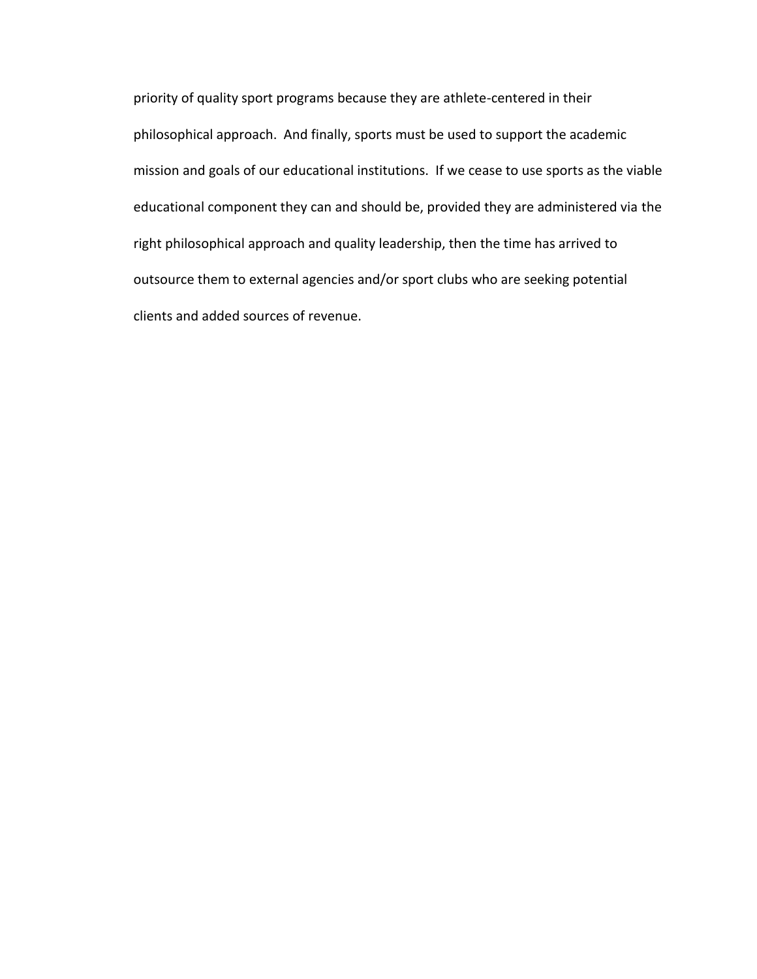priority of quality sport programs because they are athlete-centered in their philosophical approach. And finally, sports must be used to support the academic mission and goals of our educational institutions. If we cease to use sports as the viable educational component they can and should be, provided they are administered via the right philosophical approach and quality leadership, then the time has arrived to outsource them to external agencies and/or sport clubs who are seeking potential clients and added sources of revenue.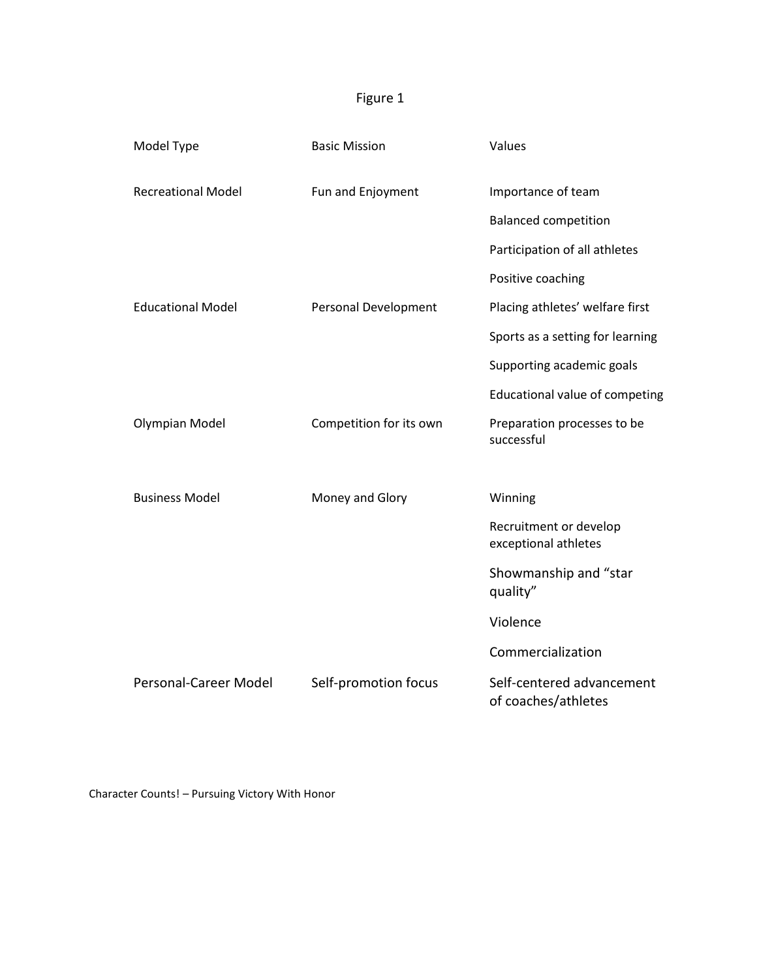# Figure 1

| Model Type                | <b>Basic Mission</b>    | Values                                           |
|---------------------------|-------------------------|--------------------------------------------------|
| <b>Recreational Model</b> | Fun and Enjoyment       | Importance of team                               |
|                           |                         | <b>Balanced competition</b>                      |
|                           |                         | Participation of all athletes                    |
|                           |                         | Positive coaching                                |
| <b>Educational Model</b>  | Personal Development    | Placing athletes' welfare first                  |
|                           |                         | Sports as a setting for learning                 |
|                           |                         | Supporting academic goals                        |
|                           |                         | Educational value of competing                   |
| <b>Olympian Model</b>     | Competition for its own | Preparation processes to be<br>successful        |
|                           |                         |                                                  |
| <b>Business Model</b>     | Money and Glory         | Winning                                          |
|                           |                         | Recruitment or develop<br>exceptional athletes   |
|                           |                         | Showmanship and "star<br>quality"                |
|                           |                         | Violence                                         |
|                           |                         | Commercialization                                |
| Personal-Career Model     | Self-promotion focus    | Self-centered advancement<br>of coaches/athletes |

Character Counts! – Pursuing Victory With Honor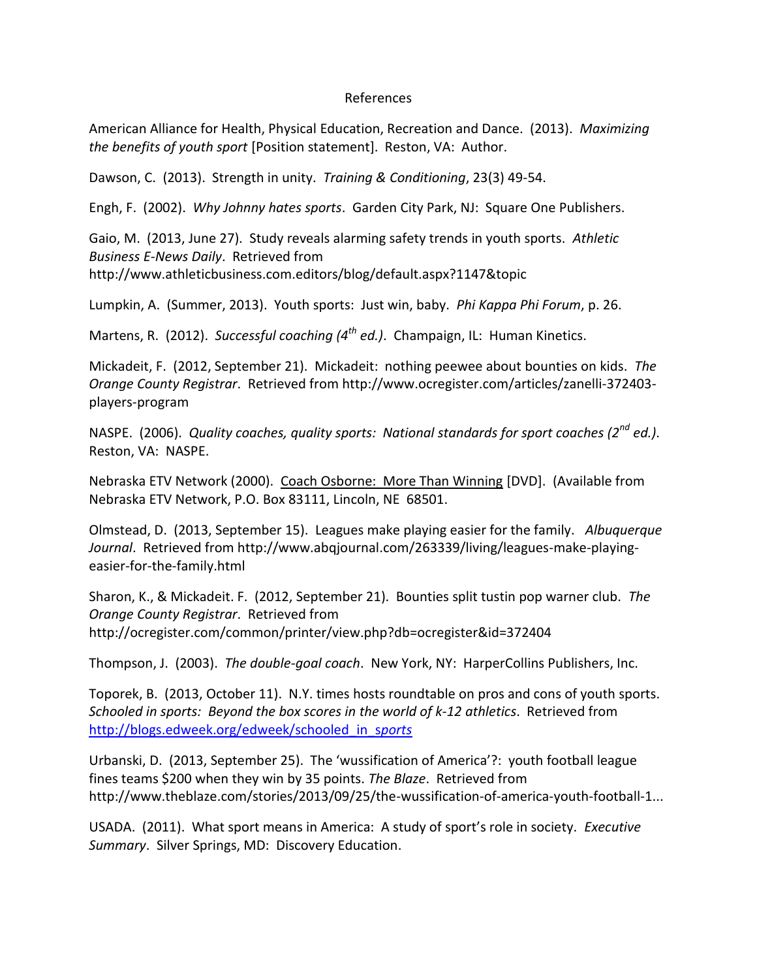## References

American Alliance for Health, Physical Education, Recreation and Dance. (2013). *Maximizing the benefits of youth sport* [Position statement]. Reston, VA: Author.

Dawson, C. (2013). Strength in unity. *Training & Conditioning*, 23(3) 49-54.

Engh, F. (2002). *Why Johnny hates sports*. Garden City Park, NJ: Square One Publishers.

Gaio, M. (2013, June 27). Study reveals alarming safety trends in youth sports. *Athletic Business E-News Daily*. Retrieved from http://www.athleticbusiness.com.editors/blog/default.aspx?1147&topic

Lumpkin, A. (Summer, 2013). Youth sports: Just win, baby. *Phi Kappa Phi Forum*, p. 26.

Martens, R. (2012). *Successful coaching (4th ed.)*. Champaign, IL: Human Kinetics.

Mickadeit, F. (2012, September 21). Mickadeit: nothing peewee about bounties on kids. *The Orange County Registrar*. Retrieved from http://www.ocregister.com/articles/zanelli-372403 players-program

NASPE. (2006). *Quality coaches, quality sports: National standards for sport coaches (2nd ed.)*. Reston, VA: NASPE.

Nebraska ETV Network (2000). Coach Osborne: More Than Winning [DVD]. (Available from Nebraska ETV Network, P.O. Box 83111, Lincoln, NE 68501.

Olmstead, D. (2013, September 15). Leagues make playing easier for the family. *Albuquerque Journal*. Retrieved from http://www.abqjournal.com/263339/living/leagues-make-playingeasier-for-the-family.html

Sharon, K., & Mickadeit. F. (2012, September 21). Bounties split tustin pop warner club. *The Orange County Registrar*. Retrieved from http://ocregister.com/common/printer/view.php?db=ocregister&id=372404

Thompson, J. (2003). *The double-goal coach*. New York, NY: HarperCollins Publishers, Inc.

Toporek, B. (2013, October 11). N.Y. times hosts roundtable on pros and cons of youth sports. *Schooled in sports: Beyond the box scores in the world of k-12 athletics*. Retrieved from [http://blogs.edweek.org/edweek/schooled\\_in\\_s](http://blogs.edweek.org/edweek/schooled_in_sports)*ports*

Urbanski, D. (2013, September 25). The 'wussification of America'?: youth football league fines teams \$200 when they win by 35 points. *The Blaze*. Retrieved from http://www.theblaze.com/stories/2013/09/25/the-wussification-of-america-youth-football-1...

USADA. (2011). What sport means in America: A study of sport's role in society. *Executive Summary*. Silver Springs, MD: Discovery Education.